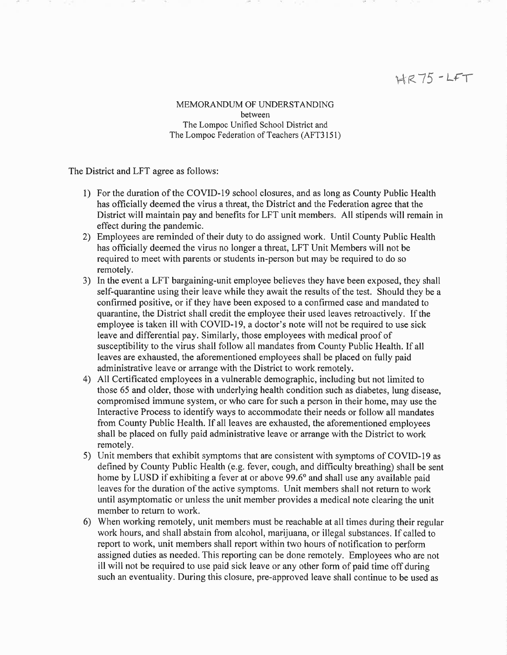## $HR75 - LFT$

MEMORANDLM OF UNDERSTANDING between The Lompoc Unified School District and The Lompoc Federation of Teachers (AFT3151)

The District and LFT agree as follows:

- 1) For the duration of the COVID-19 school closures, and as long as County Public Health has officially deemed the virus a threat, the District and the Federation agree that the District will maintain pay and benefits for LFT unit members. All stipends will remain in effect during the pandemic.
- 2) Employees are reminded of their duty to do assigned work. Until County Public Health has officially deemed the virus no longer a threat, LFT Unit Members will not be required to meet with parents or students in-person but may be required to do so remotely.
- 3) In the event a LFT bargaining-unit employee believes they have been exposed, they shall self-quarantine using their leave while they await the results of the test. Should they be a confirmed positive, or if they have been exposed to a confirmed case and mandated to quarantine, the District shall credit the employee their used leaves retroactively. If the employee is taken ill with COVID-19, a doctor's note will not be required to use sick leave and differential pay. Similarly, those employees with medical proof of susceptibility to the virus shall follow all mandates from County Public Health. If all leaves are exhausted, the aforementioned employees shall be placed on fully paid administrative leave or arrange with the District to work remotely.
- 4) All Certiflrcated employees in a vulnerable demographic, including but not limited to those 65 and older, those with underlying health condition such as diabetes, lung disease, compromised immune system, or who care for such a person in their home, may use the Interactive Process to identify ways to accommodate their needs or follow all mandates from County Public Health. If all leaves are exhausted, the aforementioned employees shall be placed on fully paid administrative leave or arrange with the District to work remotely.
- 5) Unit members that exhibit symptoms that are consistent with symptoms of COVID-19 as defined by County Public Health (e.g. fever, cough, and difficulty breathing) shall be sent home by LUSD if exhibiting a fever at or above 99.6° and shall use any available paid leaves for the duration of the active symptoms. Unit members shall not return to work until asymptomatic or unless the unit member provides a medical note clearing the unit member to return to work.
- 6) When working remotely, unit members must be reachable at all times during their regular work hours, and shall abstain from alcohol, marijuana, or illegal substances. If called to report to work, unit members shall report within two hours of notification to perform assigned duties as needed. This reporting can be done remotely. Employees who are not ill will not be required to use paid sick leave or any other form of paid time off during such an eventuality. During this closure, pre-approved leave shall continue to be used as